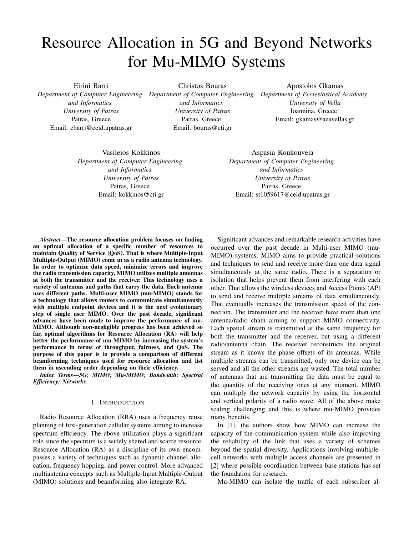# Resource Allocation in 5G and Beyond Networks for Mu-MIMO Systems

Eirini Barri *Department of Computer Engineering Department of Computer Engineering Department of Ecclesiastical Academy and Informatics University of Patras* Patras, Greece Email: ebarri@ceid.upatras.gr

Christos Bouras

*and Informatics University of Patras* Patras, Greece Email: bouras@cti.gr

Apostolos Gkamas *University of Vella* Ioannina, Greece Email: gkamas@aeavellas.gr

Vasileios Kokkinos *Department of Computer Engineering and Informatics University of Patras* Patras, Greece Email: kokkinos@cti.gr

Aspasia Koukouvela *Department of Computer Engineering and Informatics University of Patras* Patras, Greece Email: st1059617@ceid.upatras.gr

*Abstract*—The resource allocation problem focuses on finding an optimal allocation of a specific number of resources to maintain Quality of Service (QoS). That is where Multiple-Input Multiple-Output (MIMO) come in as a radio antenna technology. In order to optimize data speed, minimize errors and improve the radio transmission capacity, MIMO utilizes multiple antennas at both the transmitter and the receiver. This technology uses a variety of antennas and paths that carry the data. Each antenna uses different paths. Multi-user MIMO (mu-MIMO) stands for a technology that allows routers to communicate simultaneously with multiple endpoint devices and it is the next evolutionary step of single user MIMO. Over the past decade, significant advances have been made to improve the performance of mu-MIMO. Although non-negligible progress has been achieved so far, optimal algorithms for Resource Allocation (RA) will help better the performance of mu-MIMO by increasing the system's performance in terms of throughput, fairness, and QoS. The purpose of this paper is to provide a comparison of different beamforming techniques used for resource allocation and list them in ascending order depending on their efficiency.

*Index Terms*—*5G; MIMO; Mu-MIMO; Bandwidth; Spectral Efficiency; Networks.*

#### I. INTRODUCTION

Radio Resource Allocation (RRA) uses a frequency reuse planning of first-generation cellular systems aiming to increase spectrum efficiency. The above utilization plays a significant role since the spectrum is a widely shared and scarce resource. Resource Allocation (RA) as a discipline of its own encompasses a variety of techniques such as dynamic channel allocation, frequency hopping, and power control. More advanced multiantenna concepts such as Multiple-Input Multiple-Output (MIMO) solutions and beamforming also integrate RA.

Significant advances and remarkable research activities have occurred over the past decade in Multi-user MIMO (mu-MIMO) systems. MIMO aims to provide practical solutions and techniques to send and receive more than one data signal simultaneously at the same radio. There is a separation or isolation that helps prevent them from interfering with each other. That allows the wireless devices and Access Points (AP) to send and receive multiple streams of data simultaneously. That eventually increases the transmission speed of the connection. The transmitter and the receiver have more than one antenna/radio chain aiming to support MIMO connectivity. Each spatial stream is transmitted at the same frequency for both the transmitter and the receiver, but using a different radio/antenna chain. The receiver reconstructs the original stream as it knows the phase offsets of its antennas. While multiple streams can be transmitted, only one device can be served and all the other streams are wasted. The total number of antennas that are transmitting the data must be equal to the quantity of the receiving ones at any moment. MIMO can multiply the network capacity by using the horizontal and vertical polarity of a radio wave. All of the above make scaling challenging and this is where mu-MIMO provides many benefits.

In [1], the authors show how MIMO can increase the capacity of the communication system while also improving the reliability of the link that uses a variety of schemes beyond the spatial diversity. Applications involving multiplecell networks with multiple access channels are presented in [2] where possible coordination between base stations has set the foundation for research.

Mu-MIMO can isolate the traffic of each subscriber al-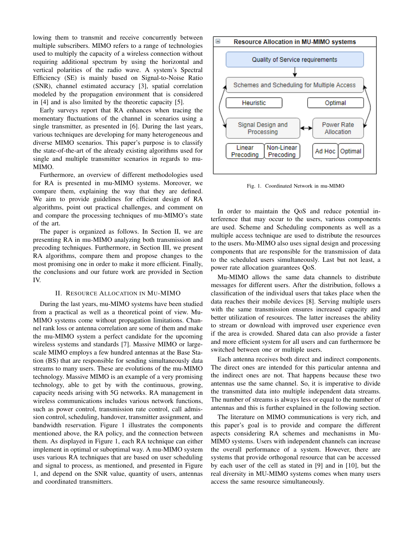lowing them to transmit and receive concurrently between multiple subscribers. MIMO refers to a range of technologies used to multiply the capacity of a wireless connection without requiring additional spectrum by using the horizontal and vertical polarities of the radio wave. A system's Spectral Efficiency (SE) is mainly based on Signal-to-Noise Ratio (SNR), channel estimated accuracy [3], spatial correlation modeled by the propagation environment that is considered in [4] and is also limited by the theoretic capacity [5].

Early surveys report that RA enhances when tracing the momentary fluctuations of the channel in scenarios using a single transmitter, as presented in [6]. During the last years, various techniques are developing for many heterogeneous and diverse MIMO scenarios. This paper's purpose is to classify the state-of-the-art of the already existing algorithms used for single and multiple transmitter scenarios in regards to mu-MIMO.

Furthermore, an overview of different methodologies used for RA is presented in mu-MIMO systems. Moreover, we compare them, explaining the way that they are defined. We aim to provide guidelines for efficient design of RA algorithms, point out practical challenges, and comment on and compare the processing techniques of mu-MIMO's state of the art.

The paper is organized as follows. In Section II, we are presenting RA in mu-MIMO analyzing both transmission and precoding techniques. Furthermore, in Section III, we present RA algorithms, compare them and propose changes to the most promising one in order to make it more efficient. Finally, the conclusions and our future work are provided in Section IV.

## II. RESOURCE ALLOCATION IN MU-MIMO

During the last years, mu-MIMO systems have been studied from a practical as well as a theoretical point of view. Mu-MIMO systems come without propagation limitations. Channel rank loss or antenna correlation are some of them and make the mu-MIMO system a perfect candidate for the upcoming wireless systems and standards [7]. Massive MIMO or largescale MIMO employs a few hundred antennas at the Base Station (BS) that are responsible for sending simultaneously data streams to many users. These are evolutions of the mu-MIMO technology. Massive MIMO is an example of a very promising technology, able to get by with the continuous, growing, capacity needs arising with 5G networks. RA management in wireless communications includes various network functions, such as power control, transmission rate control, call admission control, scheduling, handover, transmitter assignment, and bandwidth reservation. Figure 1 illustrates the components mentioned above, the RA policy, and the connection between them. As displayed in Figure 1, each RA technique can either implement in optimal or suboptimal way. A mu-MIMO system uses various RA techniques that are based on user scheduling and signal to process, as mentioned, and presented in Figure 1, and depend on the SNR value, quantity of users, antennas and coordinated transmitters.



Fig. 1. Coordinated Network in mu-MIMO

In order to maintain the QoS and reduce potential interference that may occur to the users, various components are used. Scheme and Scheduling components as well as a multiple access technique are used to distribute the resources to the users. Mu-MIMO also uses signal design and processing components that are responsible for the transmission of data to the scheduled users simultaneously. Last but not least, a power rate allocation guarantees QoS.

Mu-MIMO allows the same data channels to distribute messages for different users. After the distribution, follows a classification of the individual users that takes place when the data reaches their mobile devices [8]. Serving multiple users with the same transmission ensures increased capacity and better utilization of resources. The latter increases the ability to stream or download with improved user experience even if the area is crowded. Shared data can also provide a faster and more efficient system for all users and can furthermore be switched between one or multiple users.

Each antenna receives both direct and indirect components. The direct ones are intended for this particular antenna and the indirect ones are not. That happens because these two antennas use the same channel. So, it is imperative to divide the transmitted data into multiple independent data streams. The number of streams is always less or equal to the number of antennas and this is further explained in the following section.

The literature on MIMO communications is very rich, and this paper's goal is to provide and compare the different aspects considering RA schemes and mechanisms in Mu-MIMO systems. Users with independent channels can increase the overall performance of a system. However, there are systems that provide orthogonal resource that can be accessed by each user of the cell as stated in [9] and in [10], but the real diversity in MU-MIMO systems comes when many users access the same resource simultaneously.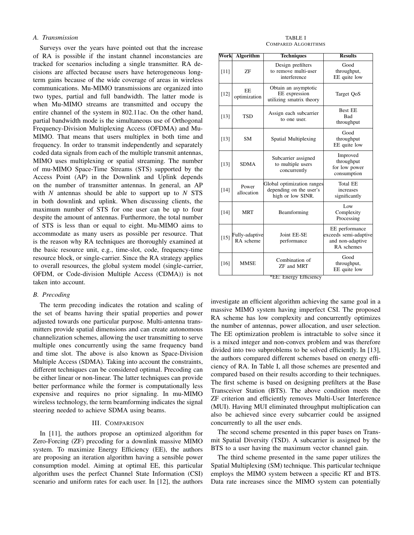# *A. Transmission*

Surveys over the years have pointed out that the increase of RA is possible if the instant channel inconstancies are tracked for scenarios including a single transmitter. RA decisions are affected because users have heterogeneous longterm gains because of the wide coverage of areas in wireless communications. Mu-MIMO transmissions are organized into two types, partial and full bandwidth. The latter mode is when Mu-MIMO streams are transmitted and occupy the entire channel of the system in 802.11ac. On the other hand, partial bandwidth mode is the simultaneous use of Orthogonal Frequency-Division Multiplexing Access (OFDMA) and Mu-MIMO. That means that users multiplex in both time and frequency. In order to transmit independently and separately coded data signals from each of the multiple transmit antennas, MIMO uses multiplexing or spatial streaming. The number of mu-MIMO Space-Time Streams (STS) supported by the Access Point (AP) in the Downlink and Uplink depends on the number of transmitter antennas. In general, an AP with *N* antennas should be able to support up to *N* STS in both downlink and uplink. When discussing clients, the maximum number of STS for one user can be up to four despite the amount of antennas. Furthermore, the total number of STS is less than or equal to eight. Mu-MIMO aims to accommodate as many users as possible per resource. That is the reason why RA techniques are thoroughly examined at the basic resource unit, e.g., time-slot, code, frequency-time resource block, or single-carrier. Since the RA strategy applies to overall resources, the global system model (single-carrier, OFDM, or Code-division Multiple Access (CDMA)) is not taken into account.

### *B. Precoding*

The term precoding indicates the rotation and scaling of the set of beams having their spatial properties and power adjusted towards one particular purpose. Multi-antenna transmitters provide spatial dimensions and can create autonomous channelization schemes, allowing the user transmitting to serve multiple ones concurrently using the same frequency band and time slot. The above is also known as Space-Division Multiple Access (SDMA). Taking into account the constraints, different techniques can be considered optimal. Precoding can be either linear or non-linear. The latter techniques can provide better performance while the former is computationally less expensive and requires no prior signaling. In mu-MIMO wireless technology, the term beamforming indicates the signal steering needed to achieve SDMA using beams.

## III. COMPARISON

In [11], the authors propose an optimized algorithm for Zero-Forcing (ZF) precoding for a downlink massive MIMO system. To maximize Energy Efficiency (EE), the authors are proposing an iteration algorithm having a sensible power consumption model. Aiming at optimal EE, this particular algorithm uses the perfect Channel State Information (CSI) scenario and uniform rates for each user. In [12], the authors

| <b>TABLE I</b>      |  |  |  |  |
|---------------------|--|--|--|--|
| COMPARED ALGORITHMS |  |  |  |  |

| Work   | <b>Algorithm</b>            | <b>Techniques</b>                                                          | <b>Results</b>                                                            |
|--------|-----------------------------|----------------------------------------------------------------------------|---------------------------------------------------------------------------|
| $[11]$ | <b>ZF</b>                   | Design prefilters<br>to remove multi-user<br>interference                  | Good<br>throughput,<br>EE quite low                                       |
| $[12]$ | EE.<br>optimization         | Obtain an asymptotic<br>EE expression<br>utilizing smatrix theory          | Target QoS                                                                |
| $[13]$ | <b>TSD</b>                  | Assign each subcarrier<br>to one user.                                     | <b>Best EE</b><br><b>Bad</b><br>throughput                                |
| $[13]$ | <b>SM</b>                   | Spatial Multiplexing                                                       | Good<br>throughput<br>EE quite low                                        |
| $[13]$ | <b>SDMA</b>                 | Subcarrier assigned<br>to multiple users<br>concurrently                   | Improved<br>throughput<br>for low power<br>consumption                    |
| $[14]$ | Power<br>allocation         | Global optimization ranges<br>depending on the user's<br>high or low SINR. | <b>Total EE</b><br>increases<br>significantly                             |
| $[14]$ | <b>MRT</b>                  | Beamforming                                                                | Low<br>Complexity<br>Processing                                           |
| $[15]$ | Fully-adaptive<br>RA scheme | Joint EE-SE<br>performance                                                 | EE performance<br>exceeds semi-adaptive<br>and non-adaptive<br>RA schemes |
| $[16]$ | <b>MMSE</b>                 | Combination of<br>ZF and MRT                                               | Good<br>throughput,<br>EE quite low                                       |

\*EE: Energy Efficiency

investigate an efficient algorithm achieving the same goal in a massive MIMO system having imperfect CSI. The proposed RA scheme has low complexity and concurrently optimizes the number of antennas, power allocation, and user selection. The EE optimization problem is intractable to solve since it is a mixed integer and non-convex problem and was therefore divided into two subproblems to be solved efficiently. In [13], the authors compared different schemes based on energy efficiency of RA. In Table I, all those schemes are presented and compared based on their results according to their techniques. The first scheme is based on designing prefilters at the Base Transceiver Station (BTS). The above condition meets the ZF criterion and efficiently removes Multi-User Interference (MUI). Having MUI eliminated throughput multiplication can also be achieved since every subcarrier could be assigned concurrently to all the user ends.

The second scheme presented in this paper bases on Transmit Spatial Diversity (TSD). A subcarrier is assigned by the BTS to a user having the maximum vector channel gain.

The third scheme presented in the same paper utilizes the Spatial Multiplexing (SM) technique. This particular technique employs the MIMO system between a specific RT and BTS. Data rate increases since the MIMO system can potentially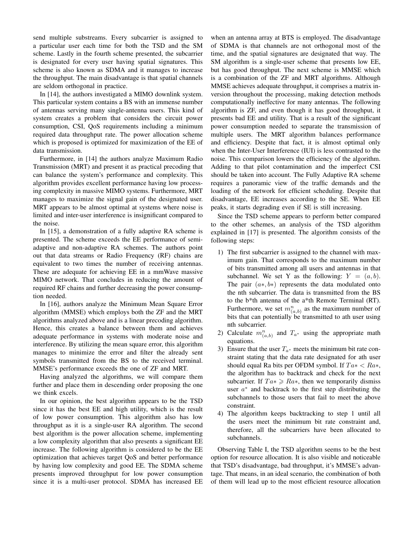send multiple substreams. Every subcarrier is assigned to a particular user each time for both the TSD and the SM scheme. Lastly in the fourth scheme presented, the subcarrier is designated for every user having spatial signatures. This scheme is also known as SDMA and it manages to increase the throughput. The main disadvantage is that spatial channels are seldom orthogonal in practice.

In [14], the authors investigated a MIMO downlink system. This particular system contains a BS with an immense number of antennas serving many single-antenna users. This kind of system creates a problem that considers the circuit power consumption, CSI, QoS requirements including a minimum required data throughput rate. The power allocation scheme which is proposed is optimized for maximization of the EE of data transmission.

Furthermore, in [14] the authors analyze Maximum Radio Transmission (MRT) and present it as practical precoding that can balance the system's performance and complexity. This algorithm provides excellent performance having low processing complexity in massive MIMO systems. Furthermore, MRT manages to maximize the signal gain of the designated user. MRT appears to be almost optimal at systems where noise is limited and inter-user interference is insignificant compared to the noise.

In [15], a demonstration of a fully adaptive RA scheme is presented. The scheme exceeds the EE performance of semiadaptive and non-adaptive RA schemes. The authors point out that data streams or Radio Frequency (RF) chains are equivalent to two times the number of receiving antennas. These are adequate for achieving EE in a mmWave massive MIMO network. That concludes in reducing the amount of required RF chains and further decreasing the power consumption needed.

In [16], authors analyze the Minimum Mean Square Error algorithm (MMSE) which employs both the ZF and the MRT algorithms analyzed above and is a linear precoding algorithm. Hence, this creates a balance between them and achieves adequate performance in systems with moderate noise and interference. By utilizing the mean square error, this algorithm manages to minimize the error and filter the already sent symbols transmitted from the BS to the received terminal. MMSE's performance exceeds the one of ZF and MRT.

Having analyzed the algorithms, we will compare them further and place them in descending order proposing the one we think excels.

In our opinion, the best algorithm appears to be the TSD since it has the best EE and high utility, which is the result of low power consumption. This algorithm also has low throughput as it is a single-user RA algorithm. The second best algorithm is the power allocation scheme, implementing a low complexity algorithm that also presents a significant EE increase. The following algorithm is considered to be the EE optimization that achieves target QoS and better performance by having low complexity and good EE. The SDMA scheme presents improved throughput for low power consumption since it is a multi-user protocol. SDMA has increased EE when an antenna array at BTS is employed. The disadvantage of SDMA is that channels are not orthogonal most of the time, and the spatial signatures are designated that way. The SM algorithm is a single-user scheme that presents low EE, but has good throughput. The next scheme is MMSE which is a combination of the ZF and MRT algorithms. Although MMSE achieves adequate throughput, it comprises a matrix inversion throughout the processing, making detection methods computationally ineffective for many antennas. The following algorithm is ZF, and even though it has good throughput, it presents bad EE and utility. That is a result of the significant power consumption needed to separate the transmission of multiple users. The MRT algorithm balances performance and efficiency. Despite that fact, it is almost optimal only when the Inter-User Interference (IUI) is less contrasted to the noise. This comparison lowers the efficiency of the algorithm. Adding to that pilot contamination and the imperfect CSI should be taken into account. The Fully Adaptive RA scheme requires a panoramic view of the traffic demands and the loading of the network for efficient scheduling. Despite that disadvantage, EE increases according to the SE. When EE peaks, it starts degrading even if SE is still increasing.

Since the TSD scheme appears to perform better compared to the other schemes, an analysis of the TSD algorithm explained in [17] is presented. The algorithm consists of the following steps:

- 1) The first subcarrier is assigned to the channel with maximum gain. That corresponds to the maximum number of bits transmitted among all users and antennas in that subchannel. We set Y as the following:  $Y = (a, b)$ . The pair  $(a*, b*)$  represents the data modulated onto the nth subcarrier. The data is transmitted from the BS to the b\*th antenna of the a\*th Remote Terminal (RT). Furthermore, we set  $m_{(a,b)}^n$  as the maximum number of bits that can potentially be transmitted to ath user using nth subcarrier.
- 2) Calculate  $m_{(a,b)}^n$  and  $T_{a^*}$  using the appropriate math equations.
- 3) Ensure that the user  $T_{a^*}$  meets the minimum bit rate constraint stating that the data rate designated for ath user should equal Ra bits per OFDM symbol. If  $Ta* < Ra*$ , the algorithm has to backtrack and check for the next subcarrier. If  $Ta \geq Ra$ \*, then we temporarily dismiss user  $a^*$  and backtrack to the first step distributing the subchannels to those users that fail to meet the above constraint.
- 4) The algorithm keeps backtracking to step 1 until all the users meet the minimum bit rate constraint and, therefore, all the subcarriers have been allocated to subchannels.

Observing Table I, the TSD algorithm seems to be the best option for resource allocation. It is also visible and noticeable that TSD's disadvantage, bad throughput, it's MMSE's advantage. That means, in an ideal scenario, the combination of both of them will lead up to the most efficient resource allocation